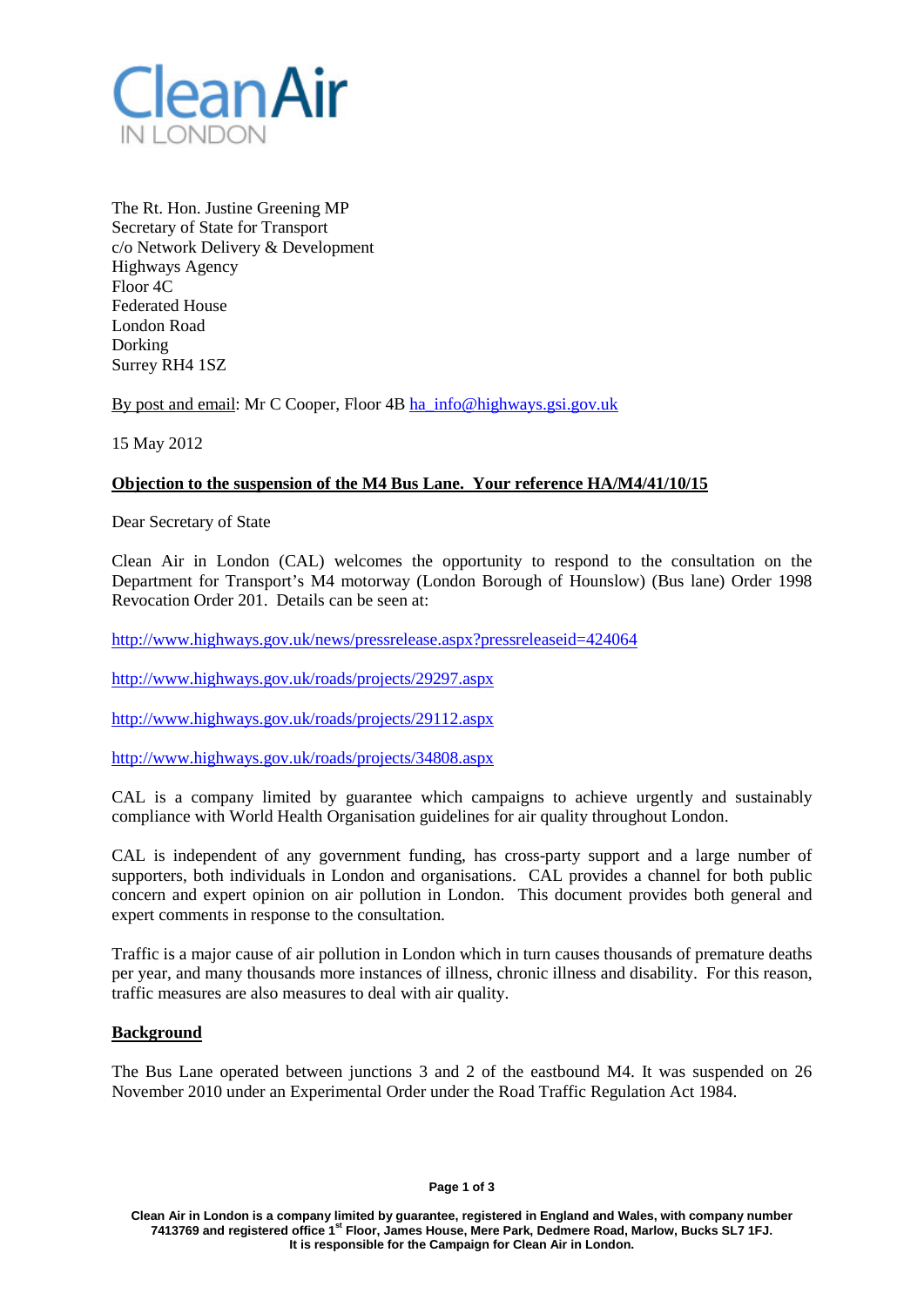

The Rt. Hon. Justine Greening MP Secretary of State for Transport c/o Network Delivery & Development Highways Agency Floor 4C Federated House London Road Dorking Surrey RH4 1SZ

By post and email: Mr C Cooper, Floor 4B [ha\\_info@highways.gsi.gov.uk](mailto:ha_info@highways.gsi.gov.uk)

15 May 2012

# **Objection to the suspension of the M4 Bus Lane. Your reference HA/M4/41/10/15**

Dear Secretary of State

Clean Air in London (CAL) welcomes the opportunity to respond to the consultation on the Department for Transport's M4 motorway (London Borough of Hounslow) (Bus lane) Order 1998 Revocation Order 201. Details can be seen at:

<http://www.highways.gov.uk/news/pressrelease.aspx?pressreleaseid=424064>

<http://www.highways.gov.uk/roads/projects/29297.aspx>

<http://www.highways.gov.uk/roads/projects/29112.aspx>

<http://www.highways.gov.uk/roads/projects/34808.aspx>

CAL is a company limited by guarantee which campaigns to achieve urgently and sustainably compliance with World Health Organisation guidelines for air quality throughout London.

CAL is independent of any government funding, has cross-party support and a large number of supporters, both individuals in London and organisations. CAL provides a channel for both public concern and expert opinion on air pollution in London. This document provides both general and expert comments in response to the consultation.

Traffic is a major cause of air pollution in London which in turn causes thousands of premature deaths per year, and many thousands more instances of illness, chronic illness and disability. For this reason, traffic measures are also measures to deal with air quality.

## **Background**

The Bus Lane operated between junctions 3 and 2 of the eastbound M4. It was suspended on 26 November 2010 under an Experimental Order under the Road Traffic Regulation Act 1984.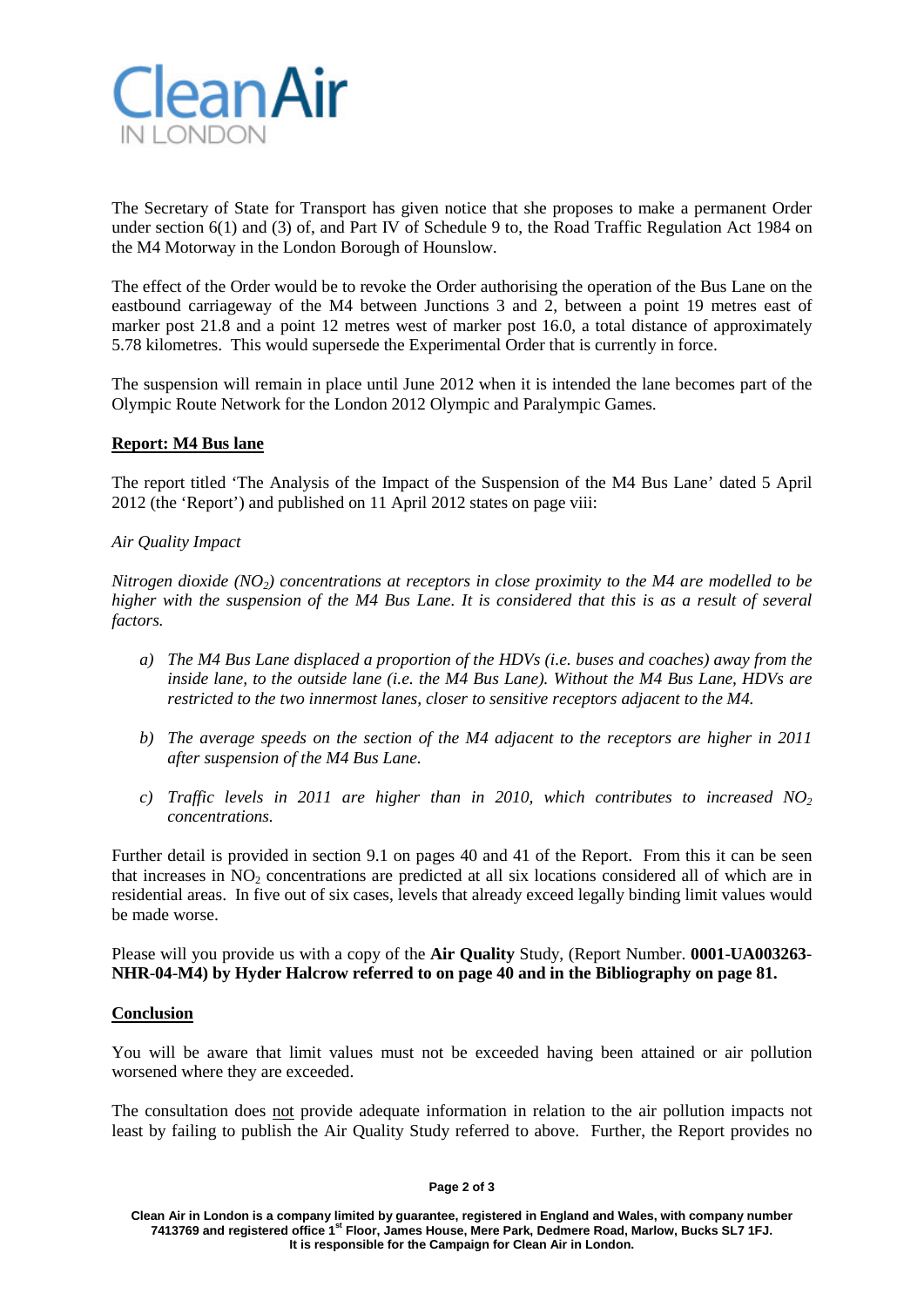

The Secretary of State for Transport has given notice that she proposes to make a permanent Order under section 6(1) and (3) of, and Part IV of Schedule 9 to, the Road Traffic Regulation Act 1984 on the M4 Motorway in the London Borough of Hounslow.

The effect of the Order would be to revoke the Order authorising the operation of the Bus Lane on the eastbound carriageway of the M4 between Junctions 3 and 2, between a point 19 metres east of marker post 21.8 and a point 12 metres west of marker post 16.0, a total distance of approximately 5.78 kilometres. This would supersede the Experimental Order that is currently in force.

The suspension will remain in place until June 2012 when it is intended the lane becomes part of the Olympic Route Network for the London 2012 Olympic and Paralympic Games.

## **Report: M4 Bus lane**

The report titled 'The Analysis of the Impact of the Suspension of the M4 Bus Lane' dated 5 April 2012 (the 'Report') and published on 11 April 2012 states on page viii:

## *Air Quality Impact*

*Nitrogen dioxide (NO2) concentrations at receptors in close proximity to the M4 are modelled to be higher with the suspension of the M4 Bus Lane. It is considered that this is as a result of several factors.*

- *a) The M4 Bus Lane displaced a proportion of the HDVs (i.e. buses and coaches) away from the inside lane, to the outside lane (i.e. the M4 Bus Lane). Without the M4 Bus Lane, HDVs are restricted to the two innermost lanes, closer to sensitive receptors adjacent to the M4.*
- *b) The average speeds on the section of the M4 adjacent to the receptors are higher in 2011 after suspension of the M4 Bus Lane.*
- *c*) *Traffic levels in 2011 are higher than in 2010, which contributes to increased NO<sub>2</sub> concentrations.*

Further detail is provided in section 9.1 on pages 40 and 41 of the Report. From this it can be seen that increases in  $NO<sub>2</sub>$  concentrations are predicted at all six locations considered all of which are in residential areas. In five out of six cases, levels that already exceed legally binding limit values would be made worse.

Please will you provide us with a copy of the **Air Quality** Study, (Report Number. **0001**-**UA003263**- **NHR**-**04**-**M4) by Hyder Halcrow referred to on page 40 and in the Bibliography on page 81.**

## **Conclusion**

You will be aware that limit values must not be exceeded having been attained or air pollution worsened where they are exceeded.

The consultation does not provide adequate information in relation to the air pollution impacts not least by failing to publish the Air Quality Study referred to above. Further, the Report provides no

#### **Page 2 of 3**

**Clean Air in London is a company limited by guarantee, registered in England and Wales, with company number 7413769 and registered office 1st Floor, James House, Mere Park, Dedmere Road, Marlow, Bucks SL7 1FJ. It is responsible for the Campaign for Clean Air in London.**